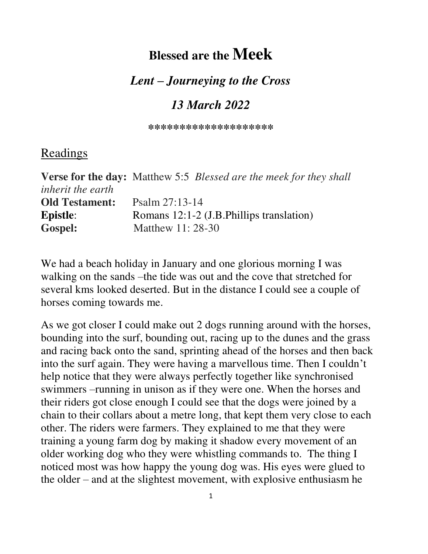# **Blessed are the Meek**

### *Lent – Journeying to the Cross*

## *13 March 2022*

**\*\*\*\*\*\*\*\*\*\*\*\*\*\*\*\*\*\*\*\*** 

#### Readings

|                          | <b>Verse for the day:</b> Matthew 5:5 <i>Blessed are the meek for they shall</i> |
|--------------------------|----------------------------------------------------------------------------------|
| <i>inherit the earth</i> |                                                                                  |
| <b>Old Testament:</b>    | Psalm $27:13-14$                                                                 |
| <b>Epistle:</b>          | Romans 12:1-2 (J.B. Phillips translation)                                        |
| <b>Gospel:</b>           | Matthew 11: 28-30                                                                |

We had a beach holiday in January and one glorious morning I was walking on the sands –the tide was out and the cove that stretched for several kms looked deserted. But in the distance I could see a couple of horses coming towards me.

As we got closer I could make out 2 dogs running around with the horses, bounding into the surf, bounding out, racing up to the dunes and the grass and racing back onto the sand, sprinting ahead of the horses and then back into the surf again. They were having a marvellous time. Then I couldn't help notice that they were always perfectly together like synchronised swimmers –running in unison as if they were one. When the horses and their riders got close enough I could see that the dogs were joined by a chain to their collars about a metre long, that kept them very close to each other. The riders were farmers. They explained to me that they were training a young farm dog by making it shadow every movement of an older working dog who they were whistling commands to. The thing I noticed most was how happy the young dog was. His eyes were glued to the older – and at the slightest movement, with explosive enthusiasm he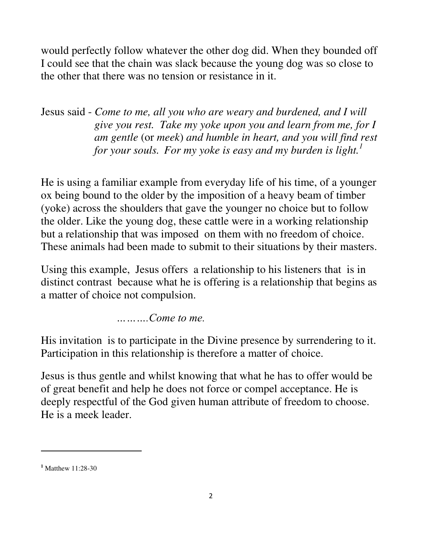would perfectly follow whatever the other dog did. When they bounded off I could see that the chain was slack because the young dog was so close to the other that there was no tension or resistance in it.

Jesus said - *Come to me, all you who are weary and burdened, and I will give you rest. Take my yoke upon you and learn from me, for I am gentle* (or *meek*) *and humble in heart, and you will find rest for your souls. For my yoke is easy and my burden is light.<sup>1</sup>*

He is using a familiar example from everyday life of his time, of a younger ox being bound to the older by the imposition of a heavy beam of timber (yoke) across the shoulders that gave the younger no choice but to follow the older. Like the young dog, these cattle were in a working relationship but a relationship that was imposed on them with no freedom of choice. These animals had been made to submit to their situations by their masters.

Using this example, Jesus offers a relationship to his listeners that is in distinct contrast because what he is offering is a relationship that begins as a matter of choice not compulsion.

 *……….Come to me.* 

His invitation is to participate in the Divine presence by surrendering to it. Participation in this relationship is therefore a matter of choice.

Jesus is thus gentle and whilst knowing that what he has to offer would be of great benefit and help he does not force or compel acceptance. He is deeply respectful of the God given human attribute of freedom to choose. He is a meek leader.

**<sup>1</sup>** Matthew 11:28-30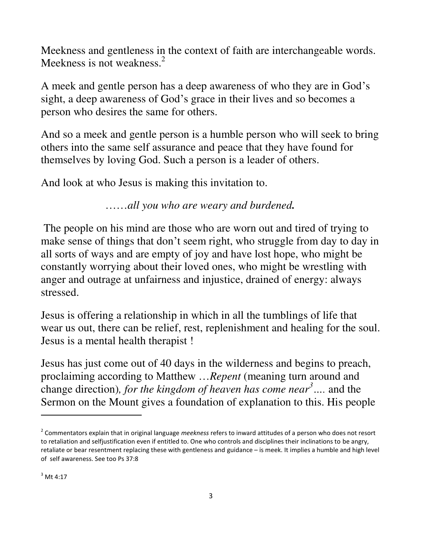Meekness and gentleness in the context of faith are interchangeable words. Meekness is not weakness.<sup>2</sup>

A meek and gentle person has a deep awareness of who they are in God's sight, a deep awareness of God's grace in their lives and so becomes a person who desires the same for others.

And so a meek and gentle person is a humble person who will seek to bring others into the same self assurance and peace that they have found for themselves by loving God. Such a person is a leader of others.

And look at who Jesus is making this invitation to.

……*all you who are weary and burdened.* 

The people on his mind are those who are worn out and tired of trying to make sense of things that don't seem right, who struggle from day to day in all sorts of ways and are empty of joy and have lost hope, who might be constantly worrying about their loved ones, who might be wrestling with anger and outrage at unfairness and injustice, drained of energy: always stressed.

Jesus is offering a relationship in which in all the tumblings of life that wear us out, there can be relief, rest, replenishment and healing for the soul. Jesus is a mental health therapist !

Jesus has just come out of 40 days in the wilderness and begins to preach, proclaiming according to Matthew …*Repent* (meaning turn around and change direction)*, for the kingdom of heaven has come near<sup>3</sup>….* and the Sermon on the Mount gives a foundation of explanation to this. His people

<sup>2</sup> Commentators explain that in original language *meekness* refers to inward attitudes of a person who does not resort to retaliation and selfjustification even if entitled to. One who controls and disciplines their inclinations to be angry, retaliate or bear resentment replacing these with gentleness and guidance – is meek. It implies a humble and high level of self awareness. See too Ps 37:8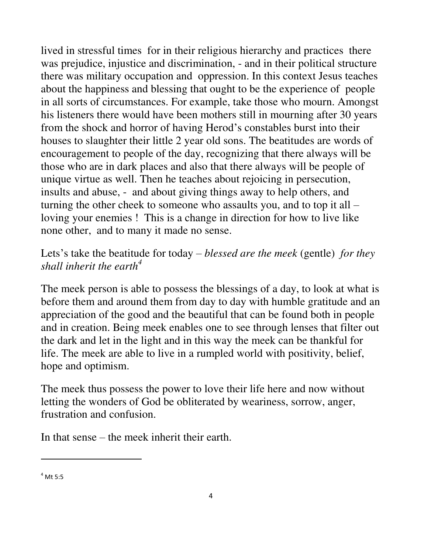lived in stressful times for in their religious hierarchy and practices there was prejudice, injustice and discrimination, - and in their political structure there was military occupation and oppression. In this context Jesus teaches about the happiness and blessing that ought to be the experience of people in all sorts of circumstances. For example, take those who mourn. Amongst his listeners there would have been mothers still in mourning after 30 years from the shock and horror of having Herod's constables burst into their houses to slaughter their little 2 year old sons. The beatitudes are words of encouragement to people of the day, recognizing that there always will be those who are in dark places and also that there always will be people of unique virtue as well. Then he teaches about rejoicing in persecution, insults and abuse, - and about giving things away to help others, and turning the other cheek to someone who assaults you, and to top it all – loving your enemies ! This is a change in direction for how to live like none other, and to many it made no sense.

#### Lets's take the beatitude for today – *blessed are the meek* (gentle) *for they shall inherit the earth<sup>4</sup>*

The meek person is able to possess the blessings of a day, to look at what is before them and around them from day to day with humble gratitude and an appreciation of the good and the beautiful that can be found both in people and in creation. Being meek enables one to see through lenses that filter out the dark and let in the light and in this way the meek can be thankful for life. The meek are able to live in a rumpled world with positivity, belief, hope and optimism.

The meek thus possess the power to love their life here and now without letting the wonders of God be obliterated by weariness, sorrow, anger, frustration and confusion.

In that sense – the meek inherit their earth.

 $<sup>4</sup>$  Mt 5:5</sup>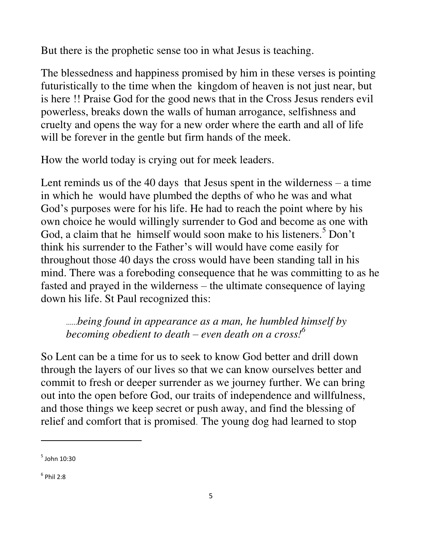But there is the prophetic sense too in what Jesus is teaching.

The blessedness and happiness promised by him in these verses is pointing futuristically to the time when the kingdom of heaven is not just near, but is here !! Praise God for the good news that in the Cross Jesus renders evil powerless, breaks down the walls of human arrogance, selfishness and cruelty and opens the way for a new order where the earth and all of life will be forever in the gentle but firm hands of the meek.

How the world today is crying out for meek leaders.

Lent reminds us of the 40 days that Jesus spent in the wilderness  $-$  a time in which he would have plumbed the depths of who he was and what God's purposes were for his life. He had to reach the point where by his own choice he would willingly surrender to God and become as one with God, a claim that he himself would soon make to his listeners.<sup>5</sup> Don't think his surrender to the Father's will would have come easily for throughout those 40 days the cross would have been standing tall in his mind. There was a foreboding consequence that he was committing to as he fasted and prayed in the wilderness – the ultimate consequence of laying down his life. St Paul recognized this:

……*being found in appearance as a man, he humbled himself by becoming obedient to death – even death on a cross!<sup>6</sup>*

So Lent can be a time for us to seek to know God better and drill down through the layers of our lives so that we can know ourselves better and commit to fresh or deeper surrender as we journey further. We can bring out into the open before God, our traits of independence and willfulness, and those things we keep secret or push away, and find the blessing of relief and comfort that is promised. The young dog had learned to stop

l

 $^5$  John 10:30

 $^6$  Phil 2:8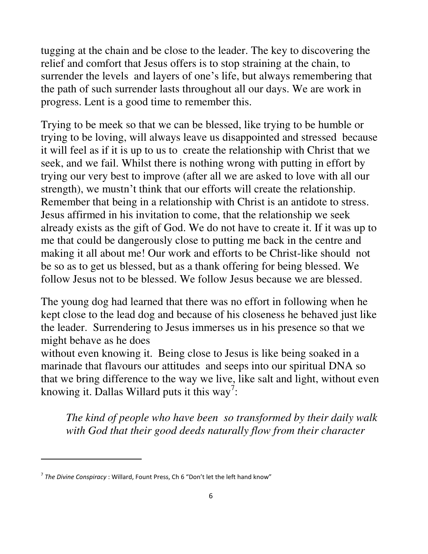tugging at the chain and be close to the leader. The key to discovering the relief and comfort that Jesus offers is to stop straining at the chain, to surrender the levels and layers of one's life, but always remembering that the path of such surrender lasts throughout all our days. We are work in progress. Lent is a good time to remember this.

Trying to be meek so that we can be blessed, like trying to be humble or trying to be loving, will always leave us disappointed and stressed because it will feel as if it is up to us to create the relationship with Christ that we seek, and we fail. Whilst there is nothing wrong with putting in effort by trying our very best to improve (after all we are asked to love with all our strength), we mustn't think that our efforts will create the relationship. Remember that being in a relationship with Christ is an antidote to stress. Jesus affirmed in his invitation to come, that the relationship we seek already exists as the gift of God. We do not have to create it. If it was up to me that could be dangerously close to putting me back in the centre and making it all about me! Our work and efforts to be Christ-like should not be so as to get us blessed, but as a thank offering for being blessed. We follow Jesus not to be blessed. We follow Jesus because we are blessed.

The young dog had learned that there was no effort in following when he kept close to the lead dog and because of his closeness he behaved just like the leader. Surrendering to Jesus immerses us in his presence so that we might behave as he does

without even knowing it. Being close to Jesus is like being soaked in a marinade that flavours our attitudes and seeps into our spiritual DNA so that we bring difference to the way we live, like salt and light, without even knowing it. Dallas Willard puts it this way<sup>7</sup>:

*The kind of people who have been so transformed by their daily walk with God that their good deeds naturally flow from their character* 

<sup>7</sup> *The Divine Conspiracy* : Willard, Fount Press, Ch 6 "Don't let the left hand know"